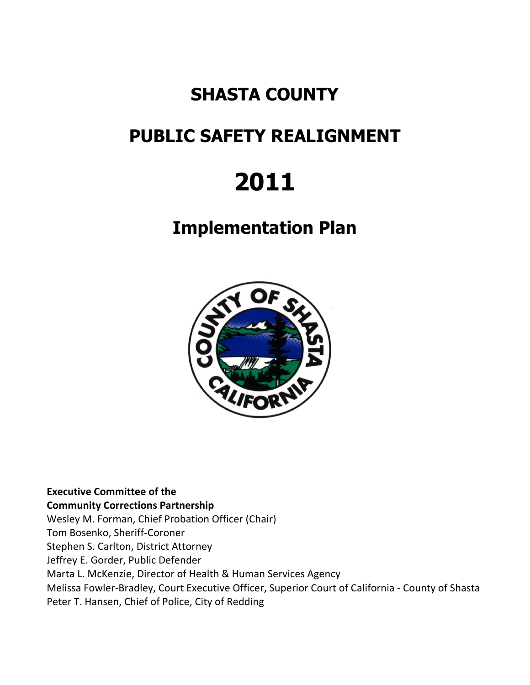# SHASTA COUNTY

# PUBLIC SAFETY REALIGNMENT

# 2011

# Implementation Plan



Executive Committee of the Community Corrections Partnership Wesley M. Forman, Chief Probation Officer (Chair) Tom Bosenko, Sheriff-Coroner Stephen S. Carlton, District Attorney Jeffrey E. Gorder, Public Defender Marta L. McKenzie, Director of Health & Human Services Agency Melissa Fowler-Bradley, Court Executive Officer, Superior Court of California - County of Shasta Peter T. Hansen, Chief of Police, City of Redding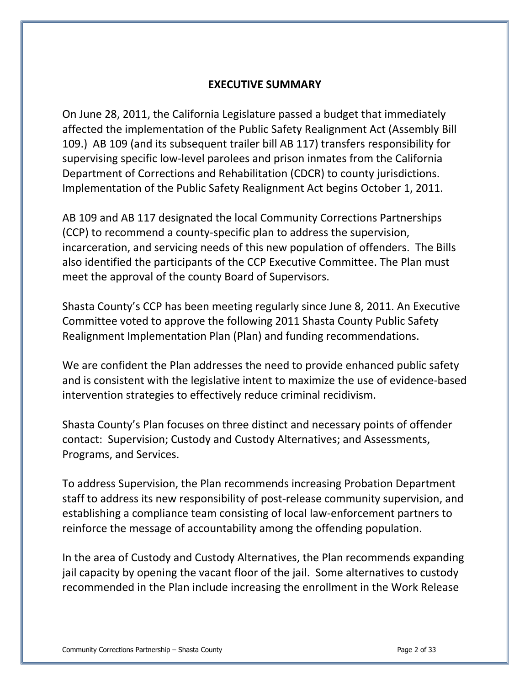# EXECUTIVE SUMMARY

On June 28, 2011, the California Legislature passed a budget that immediately affected the implementation of the Public Safety Realignment Act (Assembly Bill 109.) AB 109 (and its subsequent trailer bill AB 117) transfers responsibility for supervising specific low-level parolees and prison inmates from the California Department of Corrections and Rehabilitation (CDCR) to county jurisdictions. Implementation of the Public Safety Realignment Act begins October 1, 2011.

AB 109 and AB 117 designated the local Community Corrections Partnerships (CCP) to recommend a county-specific plan to address the supervision, incarceration, and servicing needs of this new population of offenders. The Bills also identified the participants of the CCP Executive Committee. The Plan must meet the approval of the county Board of Supervisors.

Shasta County's CCP has been meeting regularly since June 8, 2011. An Executive Committee voted to approve the following 2011 Shasta County Public Safety Realignment Implementation Plan (Plan) and funding recommendations.

We are confident the Plan addresses the need to provide enhanced public safety and is consistent with the legislative intent to maximize the use of evidence-based intervention strategies to effectively reduce criminal recidivism.

Shasta County's Plan focuses on three distinct and necessary points of offender contact: Supervision; Custody and Custody Alternatives; and Assessments, Programs, and Services.

To address Supervision, the Plan recommends increasing Probation Department staff to address its new responsibility of post-release community supervision, and establishing a compliance team consisting of local law-enforcement partners to reinforce the message of accountability among the offending population.

In the area of Custody and Custody Alternatives, the Plan recommends expanding jail capacity by opening the vacant floor of the jail. Some alternatives to custody recommended in the Plan include increasing the enrollment in the Work Release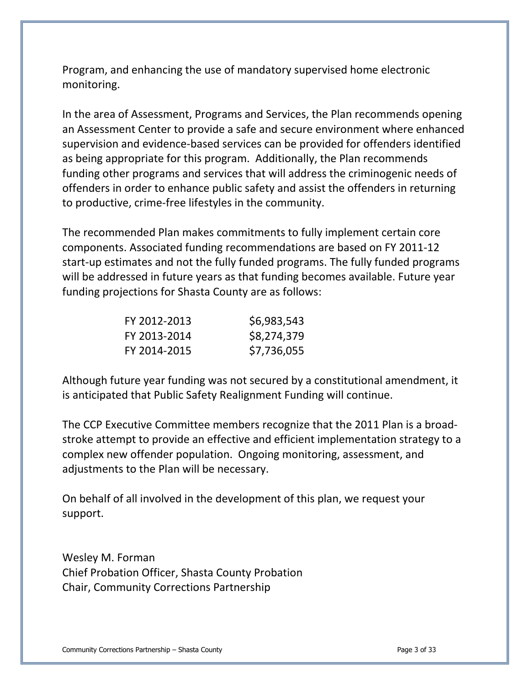Program, and enhancing the use of mandatory supervised home electronic monitoring.

In the area of Assessment, Programs and Services, the Plan recommends opening an Assessment Center to provide a safe and secure environment where enhanced supervision and evidence-based services can be provided for offenders identified as being appropriate for this program. Additionally, the Plan recommends funding other programs and services that will address the criminogenic needs of offenders in order to enhance public safety and assist the offenders in returning to productive, crime-free lifestyles in the community.

The recommended Plan makes commitments to fully implement certain core components. Associated funding recommendations are based on FY 2011-12 start-up estimates and not the fully funded programs. The fully funded programs will be addressed in future years as that funding becomes available. Future year funding projections for Shasta County are as follows:

| FY 2012-2013 | \$6,983,543 |
|--------------|-------------|
| FY 2013-2014 | \$8,274,379 |
| FY 2014-2015 | \$7,736,055 |

Although future year funding was not secured by a constitutional amendment, it is anticipated that Public Safety Realignment Funding will continue.

The CCP Executive Committee members recognize that the 2011 Plan is a broadstroke attempt to provide an effective and efficient implementation strategy to a complex new offender population. Ongoing monitoring, assessment, and adjustments to the Plan will be necessary.

On behalf of all involved in the development of this plan, we request your support.

Wesley M. Forman Chief Probation Officer, Shasta County Probation Chair, Community Corrections Partnership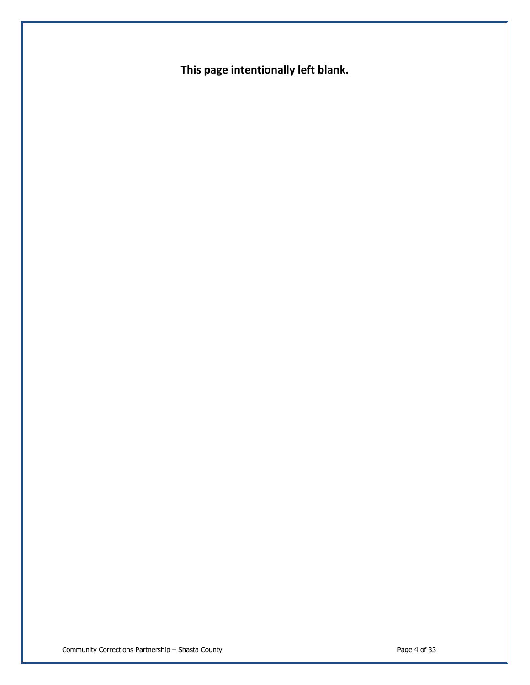This page intentionally left blank.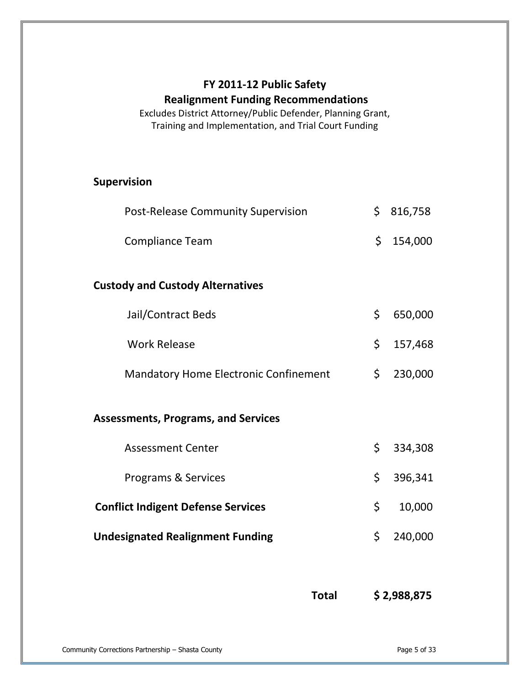# FY 2011-12 Public Safety Realignment Funding Recommendations

Excludes District Attorney/Public Defender, Planning Grant, Training and Implementation, and Trial Court Funding

#### Supervision

| <b>Post-Release Community Supervision</b> | \$816,758 |
|-------------------------------------------|-----------|
| <b>Compliance Team</b>                    | \$154,000 |

# Custody and Custody Alternatives

| Jail/Contract Beds | \$650,000 |
|--------------------|-----------|
| Work Release       | \$157,468 |

| <b>Mandatory Home Electronic Confinement</b> |  | \$230,000 |
|----------------------------------------------|--|-----------|
|----------------------------------------------|--|-----------|

# Assessments, Programs, and Services

| <b>Assessment Center</b> | \$334,308 |
|--------------------------|-----------|
|                          |           |

- Programs & Services  $\angle$  396,341 Conflict Indigent Defense Services  $\sin \theta$  \$ 10,000
- Undesignated Realignment Funding  $\sin \theta$  \$ 240,000

Total \$2,988,875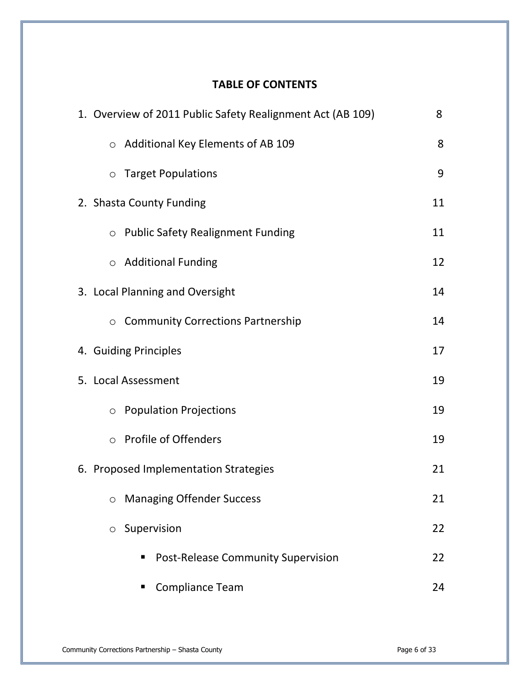# TABLE OF CONTENTS

| 1. Overview of 2011 Public Safety Realignment Act (AB 109) | 8  |
|------------------------------------------------------------|----|
| ○ Additional Key Elements of AB 109                        | 8  |
| $\circ$ Target Populations                                 | 9  |
| 2. Shasta County Funding                                   | 11 |
| o Public Safety Realignment Funding                        | 11 |
| <b>Additional Funding</b><br>$\circ$                       | 12 |
| 3. Local Planning and Oversight                            | 14 |
| <b>Community Corrections Partnership</b><br>$\circ$        | 14 |
| 4. Guiding Principles                                      | 17 |
| 5. Local Assessment                                        | 19 |
| $\circ$ Population Projections                             | 19 |
| ○ Profile of Offenders                                     | 19 |
| 6. Proposed Implementation Strategies                      | 21 |
| O Managing Offender Success                                | 21 |
| Supervision<br>$\circ$                                     | 22 |
| <b>Post-Release Community Supervision</b><br>٠             | 22 |
| <b>Compliance Team</b><br>٠                                | 24 |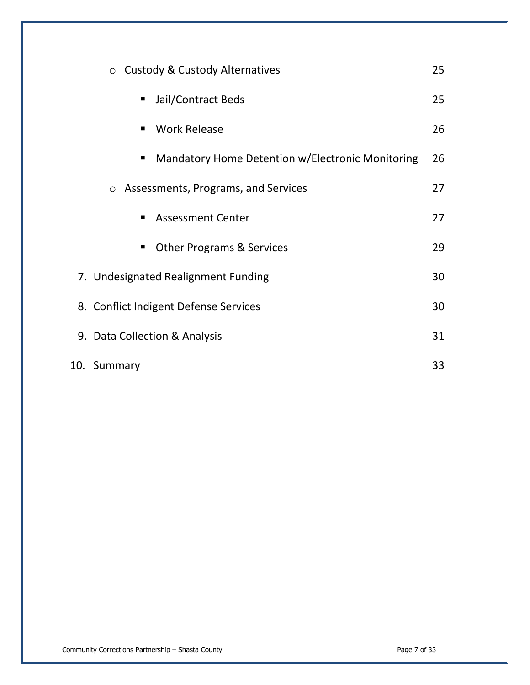| $\circ$ Custody & Custody Alternatives                | 25 |
|-------------------------------------------------------|----|
| Jail/Contract Beds<br>$\blacksquare$                  | 25 |
| <b>Work Release</b><br>п                              | 26 |
| Mandatory Home Detention w/Electronic Monitoring<br>٠ | 26 |
| Assessments, Programs, and Services<br>$\circ$        | 27 |
| <b>Assessment Center</b>                              | 27 |
| <b>Other Programs &amp; Services</b><br>٠             | 29 |
| 7. Undesignated Realignment Funding                   | 30 |
| 8. Conflict Indigent Defense Services                 | 30 |
| 9. Data Collection & Analysis                         | 31 |
| 10. Summary                                           | 33 |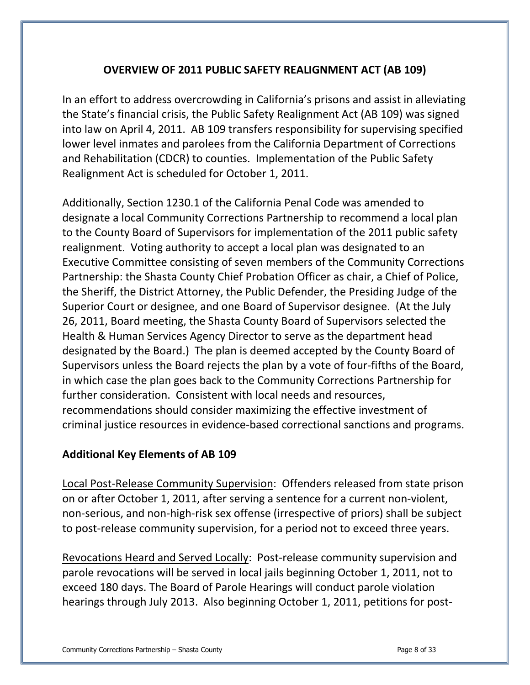# OVERVIEW OF 2011 PUBLIC SAFETY REALIGNMENT ACT (AB 109)

In an effort to address overcrowding in California's prisons and assist in alleviating the State's financial crisis, the Public Safety Realignment Act (AB 109) was signed into law on April 4, 2011. AB 109 transfers responsibility for supervising specified lower level inmates and parolees from the California Department of Corrections and Rehabilitation (CDCR) to counties. Implementation of the Public Safety Realignment Act is scheduled for October 1, 2011.

Additionally, Section 1230.1 of the California Penal Code was amended to designate a local Community Corrections Partnership to recommend a local plan to the County Board of Supervisors for implementation of the 2011 public safety realignment. Voting authority to accept a local plan was designated to an Executive Committee consisting of seven members of the Community Corrections Partnership: the Shasta County Chief Probation Officer as chair, a Chief of Police, the Sheriff, the District Attorney, the Public Defender, the Presiding Judge of the Superior Court or designee, and one Board of Supervisor designee. (At the July 26, 2011, Board meeting, the Shasta County Board of Supervisors selected the Health & Human Services Agency Director to serve as the department head designated by the Board.) The plan is deemed accepted by the County Board of Supervisors unless the Board rejects the plan by a vote of four-fifths of the Board, in which case the plan goes back to the Community Corrections Partnership for further consideration. Consistent with local needs and resources, recommendations should consider maximizing the effective investment of criminal justice resources in evidence-based correctional sanctions and programs.

# Additional Key Elements of AB 109

Local Post-Release Community Supervision: Offenders released from state prison on or after October 1, 2011, after serving a sentence for a current non-violent, non-serious, and non-high-risk sex offense (irrespective of priors) shall be subject to post-release community supervision, for a period not to exceed three years.

Revocations Heard and Served Locally: Post-release community supervision and parole revocations will be served in local jails beginning October 1, 2011, not to exceed 180 days. The Board of Parole Hearings will conduct parole violation hearings through July 2013. Also beginning October 1, 2011, petitions for post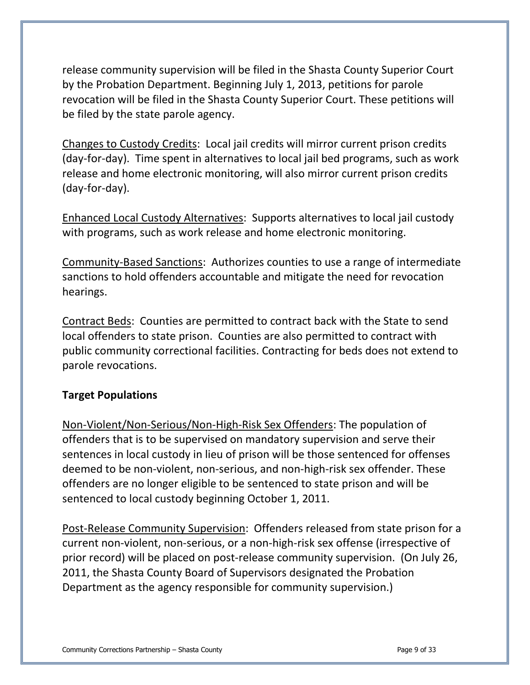release community supervision will be filed in the Shasta County Superior Court by the Probation Department. Beginning July 1, 2013, petitions for parole revocation will be filed in the Shasta County Superior Court. These petitions will be filed by the state parole agency.

Changes to Custody Credits: Local jail credits will mirror current prison credits (day-for-day). Time spent in alternatives to local jail bed programs, such as work release and home electronic monitoring, will also mirror current prison credits (day-for-day).

Enhanced Local Custody Alternatives: Supports alternatives to local jail custody with programs, such as work release and home electronic monitoring.

Community-Based Sanctions: Authorizes counties to use a range of intermediate sanctions to hold offenders accountable and mitigate the need for revocation hearings.

Contract Beds: Counties are permitted to contract back with the State to send local offenders to state prison. Counties are also permitted to contract with public community correctional facilities. Contracting for beds does not extend to parole revocations.

# Target Populations

Non-Violent/Non-Serious/Non-High-Risk Sex Offenders: The population of offenders that is to be supervised on mandatory supervision and serve their sentences in local custody in lieu of prison will be those sentenced for offenses deemed to be non-violent, non-serious, and non-high-risk sex offender. These offenders are no longer eligible to be sentenced to state prison and will be sentenced to local custody beginning October 1, 2011.

Post-Release Community Supervision: Offenders released from state prison for a current non-violent, non-serious, or a non-high-risk sex offense (irrespective of prior record) will be placed on post-release community supervision. (On July 26, 2011, the Shasta County Board of Supervisors designated the Probation Department as the agency responsible for community supervision.)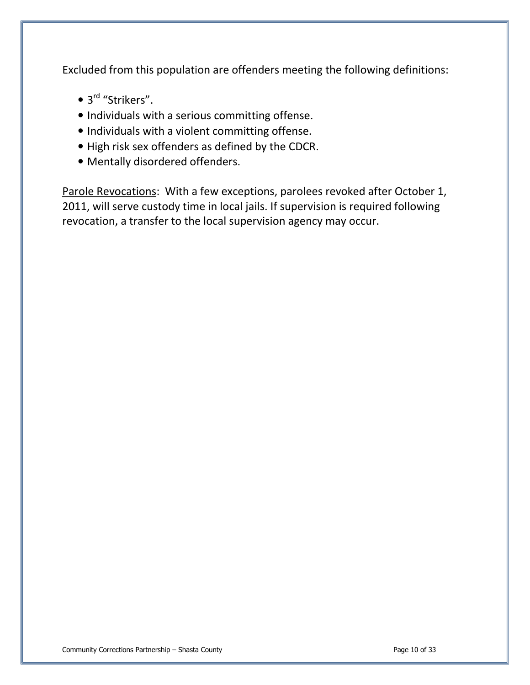Excluded from this population are offenders meeting the following definitions:

- 3<sup>rd</sup> "Strikers".
- Individuals with a serious committing offense.
- Individuals with a violent committing offense.
- High risk sex offenders as defined by the CDCR.
- Mentally disordered offenders.

Parole Revocations: With a few exceptions, parolees revoked after October 1, 2011, will serve custody time in local jails. If supervision is required following revocation, a transfer to the local supervision agency may occur.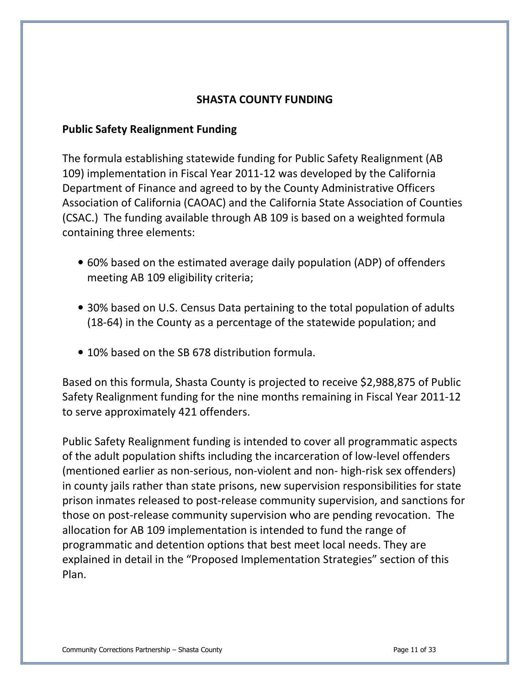# SHASTA COUNTY FUNDING

# Public Safety Realignment Funding

The formula establishing statewide funding for Public Safety Realignment (AB 109) implementation in Fiscal Year 2011-12 was developed by the California Department of Finance and agreed to by the County Administrative Officers Association of California (CAOAC) and the California State Association of Counties (CSAC.) The funding available through AB 109 is based on a weighted formula containing three elements:

- 60% based on the estimated average daily population (ADP) of offenders meeting AB 109 eligibility criteria;
- 30% based on U.S. Census Data pertaining to the total population of adults (18-64) in the County as a percentage of the statewide population; and
- 10% based on the SB 678 distribution formula.

Based on this formula, Shasta County is projected to receive \$2,988,875 of Public Safety Realignment funding for the nine months remaining in Fiscal Year 2011-12 to serve approximately 421 offenders.

Public Safety Realignment funding is intended to cover all programmatic aspects of the adult population shifts including the incarceration of low-level offenders (mentioned earlier as non-serious, non-violent and non- high-risk sex offenders) in county jails rather than state prisons, new supervision responsibilities for state prison inmates released to post-release community supervision, and sanctions for those on post-release community supervision who are pending revocation. The allocation for AB 109 implementation is intended to fund the range of programmatic and detention options that best meet local needs. They are explained in detail in the "Proposed Implementation Strategies" section of this Plan.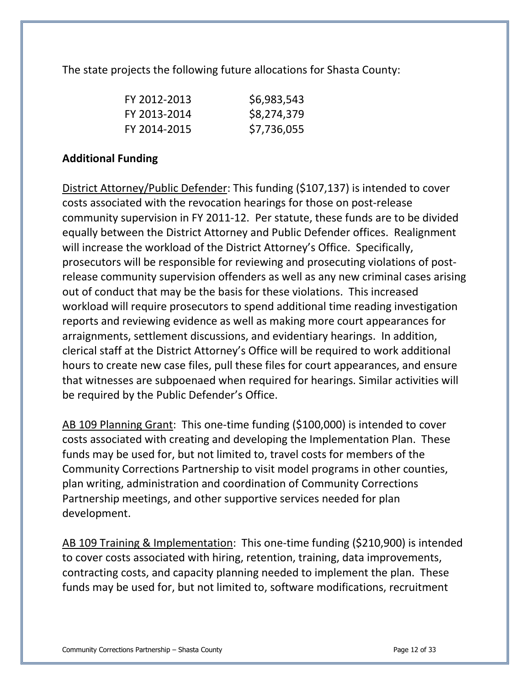The state projects the following future allocations for Shasta County:

| FY 2012-2013 | \$6,983,543 |
|--------------|-------------|
| FY 2013-2014 | \$8,274,379 |
| FY 2014-2015 | \$7,736,055 |

# Additional Funding

District Attorney/Public Defender: This funding (\$107,137) is intended to cover costs associated with the revocation hearings for those on post-release community supervision in FY 2011-12. Per statute, these funds are to be divided equally between the District Attorney and Public Defender offices. Realignment will increase the workload of the District Attorney's Office. Specifically, prosecutors will be responsible for reviewing and prosecuting violations of postrelease community supervision offenders as well as any new criminal cases arising out of conduct that may be the basis for these violations. This increased workload will require prosecutors to spend additional time reading investigation reports and reviewing evidence as well as making more court appearances for arraignments, settlement discussions, and evidentiary hearings. In addition, clerical staff at the District Attorney's Office will be required to work additional hours to create new case files, pull these files for court appearances, and ensure that witnesses are subpoenaed when required for hearings. Similar activities will be required by the Public Defender's Office.

AB 109 Planning Grant: This one-time funding (\$100,000) is intended to cover costs associated with creating and developing the Implementation Plan. These funds may be used for, but not limited to, travel costs for members of the Community Corrections Partnership to visit model programs in other counties, plan writing, administration and coordination of Community Corrections Partnership meetings, and other supportive services needed for plan development.

AB 109 Training & Implementation: This one-time funding (\$210,900) is intended to cover costs associated with hiring, retention, training, data improvements, contracting costs, and capacity planning needed to implement the plan. These funds may be used for, but not limited to, software modifications, recruitment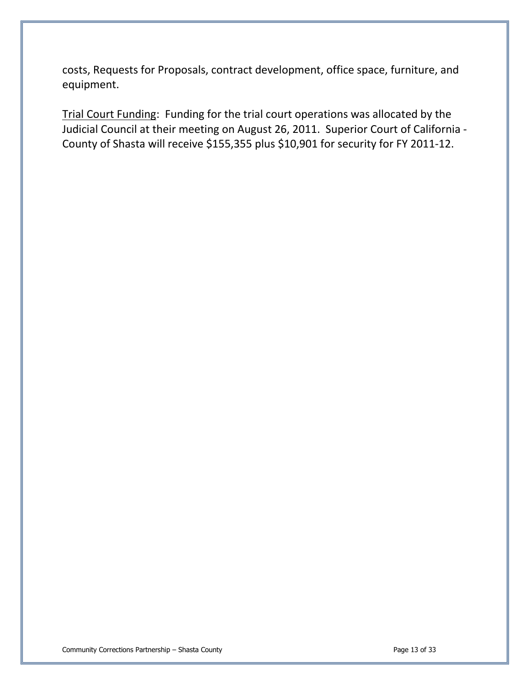costs, Requests for Proposals, contract development, office space, furniture, and equipment.

Trial Court Funding: Funding for the trial court operations was allocated by the Judicial Council at their meeting on August 26, 2011. Superior Court of California - County of Shasta will receive \$155,355 plus \$10,901 for security for FY 2011-12.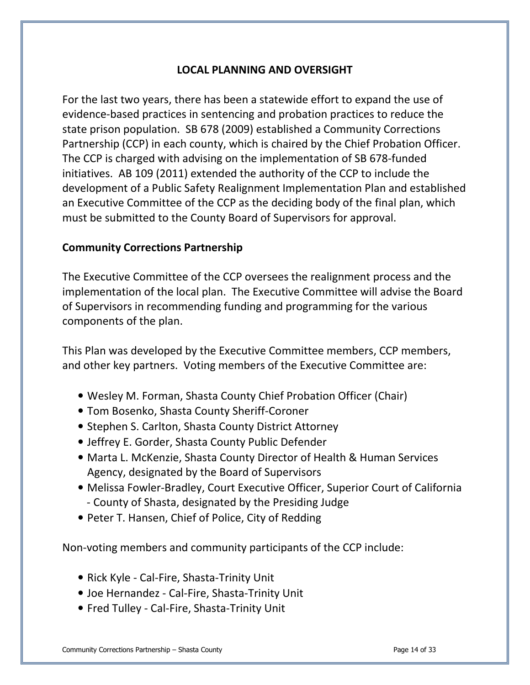# LOCAL PLANNING AND OVERSIGHT

For the last two years, there has been a statewide effort to expand the use of evidence-based practices in sentencing and probation practices to reduce the state prison population. SB 678 (2009) established a Community Corrections Partnership (CCP) in each county, which is chaired by the Chief Probation Officer. The CCP is charged with advising on the implementation of SB 678-funded initiatives. AB 109 (2011) extended the authority of the CCP to include the development of a Public Safety Realignment Implementation Plan and established an Executive Committee of the CCP as the deciding body of the final plan, which must be submitted to the County Board of Supervisors for approval.

# Community Corrections Partnership

The Executive Committee of the CCP oversees the realignment process and the implementation of the local plan. The Executive Committee will advise the Board of Supervisors in recommending funding and programming for the various components of the plan.

This Plan was developed by the Executive Committee members, CCP members, and other key partners. Voting members of the Executive Committee are:

- Wesley M. Forman, Shasta County Chief Probation Officer (Chair)
- Tom Bosenko, Shasta County Sheriff-Coroner
- Stephen S. Carlton, Shasta County District Attorney
- Jeffrey E. Gorder, Shasta County Public Defender
- Marta L. McKenzie, Shasta County Director of Health & Human Services Agency, designated by the Board of Supervisors
- Melissa Fowler-Bradley, Court Executive Officer, Superior Court of California - County of Shasta, designated by the Presiding Judge
- Peter T. Hansen, Chief of Police, City of Redding

Non-voting members and community participants of the CCP include:

- Rick Kyle Cal-Fire, Shasta-Trinity Unit
- Joe Hernandez Cal-Fire, Shasta-Trinity Unit
- Fred Tulley Cal-Fire, Shasta-Trinity Unit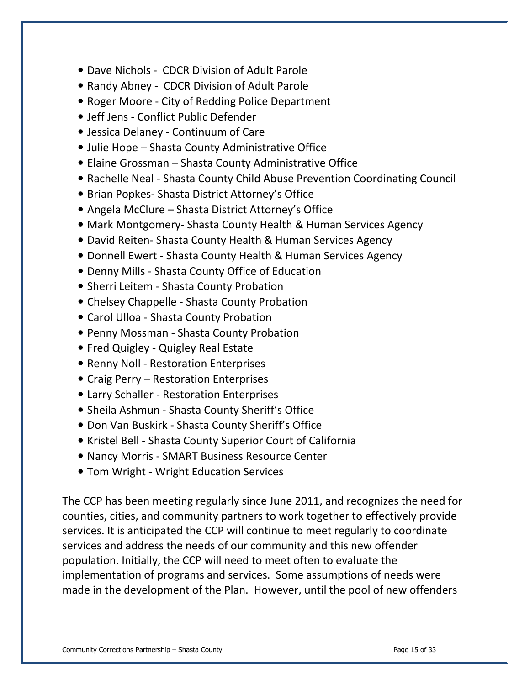- Dave Nichols CDCR Division of Adult Parole
- Randy Abney CDCR Division of Adult Parole
- Roger Moore City of Redding Police Department
- Jeff Jens Conflict Public Defender
- Jessica Delaney Continuum of Care
- Julie Hope Shasta County Administrative Office
- Elaine Grossman Shasta County Administrative Office
- Rachelle Neal Shasta County Child Abuse Prevention Coordinating Council
- Brian Popkes- Shasta District Attorney's Office
- Angela McClure Shasta District Attorney's Office
- Mark Montgomery- Shasta County Health & Human Services Agency
- David Reiten- Shasta County Health & Human Services Agency
- Donnell Ewert Shasta County Health & Human Services Agency
- Denny Mills Shasta County Office of Education
- Sherri Leitem Shasta County Probation
- Chelsey Chappelle Shasta County Probation
- Carol Ulloa Shasta County Probation
- Penny Mossman Shasta County Probation
- Fred Quigley Quigley Real Estate
- Renny Noll Restoration Enterprises
- Craig Perry Restoration Enterprises
- Larry Schaller Restoration Enterprises
- Sheila Ashmun Shasta County Sheriff's Office
- Don Van Buskirk Shasta County Sheriff's Office
- Kristel Bell Shasta County Superior Court of California
- Nancy Morris SMART Business Resource Center
- Tom Wright Wright Education Services

The CCP has been meeting regularly since June 2011, and recognizes the need for counties, cities, and community partners to work together to effectively provide services. It is anticipated the CCP will continue to meet regularly to coordinate services and address the needs of our community and this new offender population. Initially, the CCP will need to meet often to evaluate the implementation of programs and services. Some assumptions of needs were made in the development of the Plan. However, until the pool of new offenders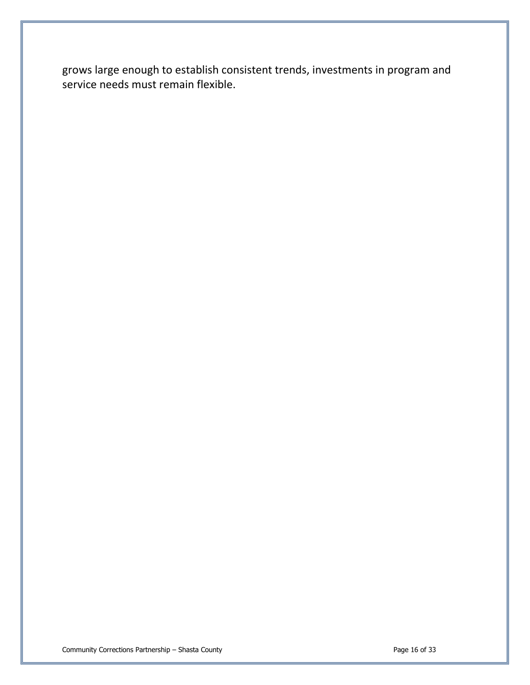grows large enough to establish consistent trends, investments in program and service needs must remain flexible.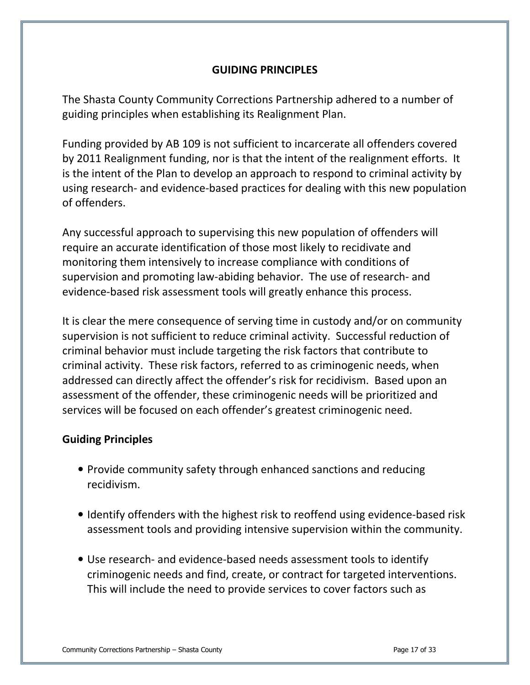# GUIDING PRINCIPLES

The Shasta County Community Corrections Partnership adhered to a number of guiding principles when establishing its Realignment Plan.

Funding provided by AB 109 is not sufficient to incarcerate all offenders covered by 2011 Realignment funding, nor is that the intent of the realignment efforts. It is the intent of the Plan to develop an approach to respond to criminal activity by using research- and evidence-based practices for dealing with this new population of offenders.

Any successful approach to supervising this new population of offenders will require an accurate identification of those most likely to recidivate and monitoring them intensively to increase compliance with conditions of supervision and promoting law-abiding behavior. The use of research- and evidence-based risk assessment tools will greatly enhance this process.

It is clear the mere consequence of serving time in custody and/or on community supervision is not sufficient to reduce criminal activity. Successful reduction of criminal behavior must include targeting the risk factors that contribute to criminal activity. These risk factors, referred to as criminogenic needs, when addressed can directly affect the offender's risk for recidivism. Based upon an assessment of the offender, these criminogenic needs will be prioritized and services will be focused on each offender's greatest criminogenic need.

# Guiding Principles

- Provide community safety through enhanced sanctions and reducing recidivism.
- Identify offenders with the highest risk to reoffend using evidence-based risk assessment tools and providing intensive supervision within the community.
- Use research- and evidence-based needs assessment tools to identify criminogenic needs and find, create, or contract for targeted interventions. This will include the need to provide services to cover factors such as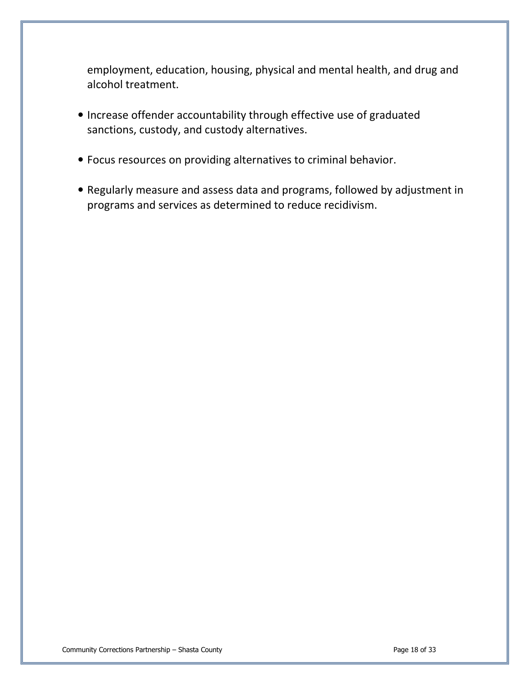employment, education, housing, physical and mental health, and drug and alcohol treatment.

- Increase offender accountability through effective use of graduated sanctions, custody, and custody alternatives.
- Focus resources on providing alternatives to criminal behavior.
- Regularly measure and assess data and programs, followed by adjustment in programs and services as determined to reduce recidivism.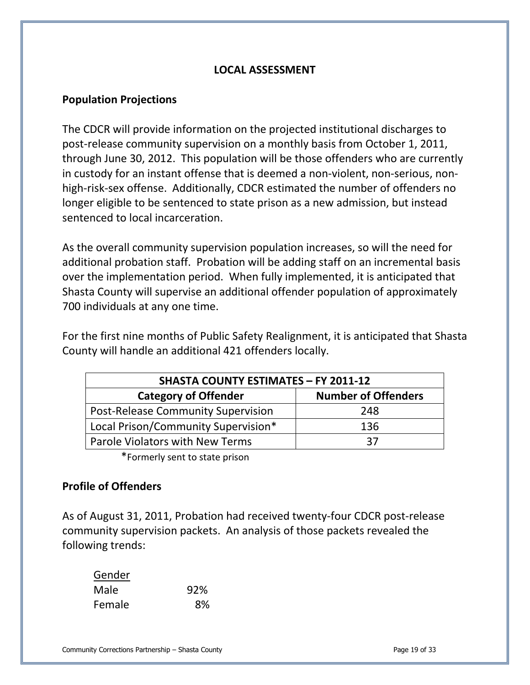# LOCAL ASSESSMENT

# Population Projections

The CDCR will provide information on the projected institutional discharges to post-release community supervision on a monthly basis from October 1, 2011, through June 30, 2012. This population will be those offenders who are currently in custody for an instant offense that is deemed a non-violent, non-serious, nonhigh-risk-sex offense. Additionally, CDCR estimated the number of offenders no longer eligible to be sentenced to state prison as a new admission, but instead sentenced to local incarceration.

As the overall community supervision population increases, so will the need for additional probation staff. Probation will be adding staff on an incremental basis over the implementation period. When fully implemented, it is anticipated that Shasta County will supervise an additional offender population of approximately 700 individuals at any one time.

For the first nine months of Public Safety Realignment, it is anticipated that Shasta County will handle an additional 421 offenders locally.

| <b>SHASTA COUNTY ESTIMATES - FY 2011-12</b>               |     |  |
|-----------------------------------------------------------|-----|--|
| <b>Number of Offenders</b><br><b>Category of Offender</b> |     |  |
| <b>Post-Release Community Supervision</b>                 | 248 |  |
| Local Prison/Community Supervision*                       | 136 |  |
| Parole Violators with New Terms                           | 37  |  |

\*Formerly sent to state prison

# Profile of Offenders

As of August 31, 2011, Probation had received twenty-four CDCR post-release community supervision packets. An analysis of those packets revealed the following trends:

| Gender |     |
|--------|-----|
| Male   | 92% |
| Female | 8%  |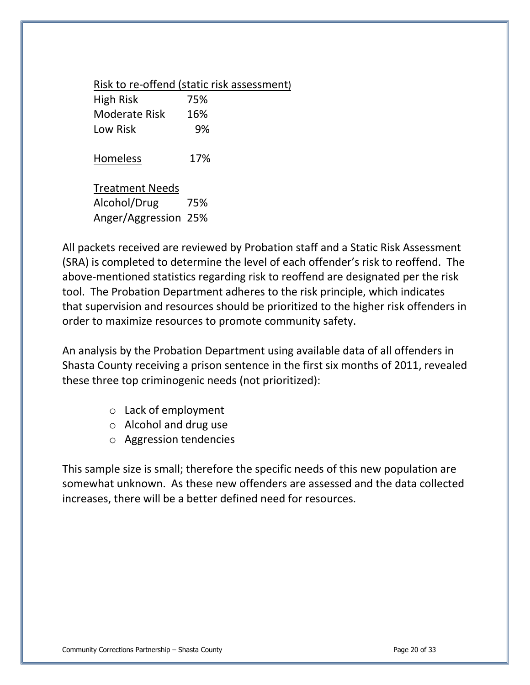#### Risk to re-offend (static risk assessment)

| High Risk              | 75% |
|------------------------|-----|
| <b>Moderate Risk</b>   | 16% |
| Low Risk               | 9%  |
|                        |     |
| <b>Homeless</b>        | 17% |
|                        |     |
| <b>Treatment Needs</b> |     |
| Alcohol/Drug           | 75% |
| Anger/Aggression 25%   |     |

All packets received are reviewed by Probation staff and a Static Risk Assessment (SRA) is completed to determine the level of each offender's risk to reoffend. The above-mentioned statistics regarding risk to reoffend are designated per the risk tool. The Probation Department adheres to the risk principle, which indicates that supervision and resources should be prioritized to the higher risk offenders in order to maximize resources to promote community safety.

An analysis by the Probation Department using available data of all offenders in Shasta County receiving a prison sentence in the first six months of 2011, revealed these three top criminogenic needs (not prioritized):

- o Lack of employment
- o Alcohol and drug use
- o Aggression tendencies

This sample size is small; therefore the specific needs of this new population are somewhat unknown. As these new offenders are assessed and the data collected increases, there will be a better defined need for resources.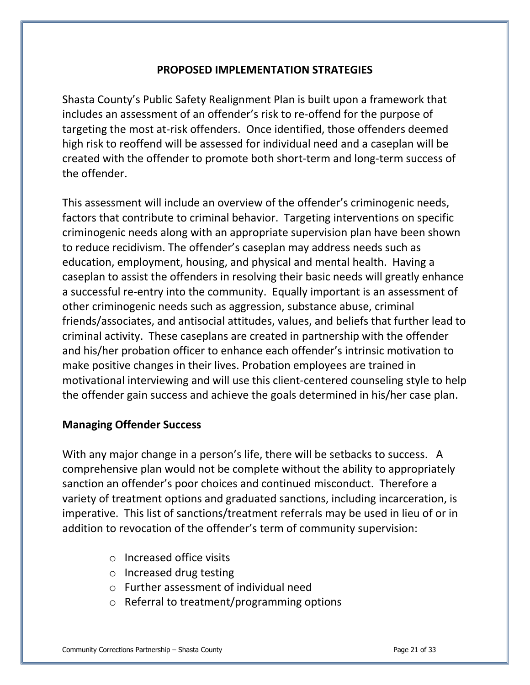# PROPOSED IMPLEMENTATION STRATEGIES

Shasta County's Public Safety Realignment Plan is built upon a framework that includes an assessment of an offender's risk to re-offend for the purpose of targeting the most at-risk offenders. Once identified, those offenders deemed high risk to reoffend will be assessed for individual need and a caseplan will be created with the offender to promote both short-term and long-term success of the offender.

This assessment will include an overview of the offender's criminogenic needs, factors that contribute to criminal behavior. Targeting interventions on specific criminogenic needs along with an appropriate supervision plan have been shown to reduce recidivism. The offender's caseplan may address needs such as education, employment, housing, and physical and mental health. Having a caseplan to assist the offenders in resolving their basic needs will greatly enhance a successful re-entry into the community. Equally important is an assessment of other criminogenic needs such as aggression, substance abuse, criminal friends/associates, and antisocial attitudes, values, and beliefs that further lead to criminal activity. These caseplans are created in partnership with the offender and his/her probation officer to enhance each offender's intrinsic motivation to make positive changes in their lives. Probation employees are trained in motivational interviewing and will use this client-centered counseling style to help the offender gain success and achieve the goals determined in his/her case plan.

# Managing Offender Success

With any major change in a person's life, there will be setbacks to success. A comprehensive plan would not be complete without the ability to appropriately sanction an offender's poor choices and continued misconduct. Therefore a variety of treatment options and graduated sanctions, including incarceration, is imperative. This list of sanctions/treatment referrals may be used in lieu of or in addition to revocation of the offender's term of community supervision:

- o Increased office visits
- o Increased drug testing
- o Further assessment of individual need
- o Referral to treatment/programming options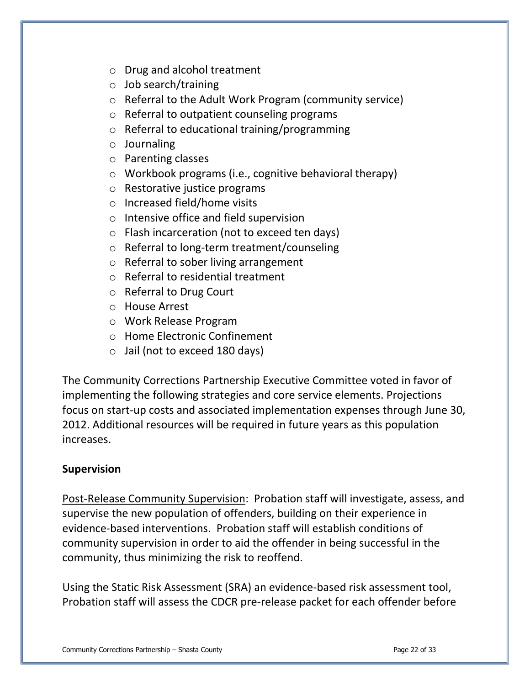- o Drug and alcohol treatment
- o Job search/training
- o Referral to the Adult Work Program (community service)
- o Referral to outpatient counseling programs
- o Referral to educational training/programming
- o Journaling
- o Parenting classes
- o Workbook programs (i.e., cognitive behavioral therapy)
- o Restorative justice programs
- o Increased field/home visits
- o Intensive office and field supervision
- o Flash incarceration (not to exceed ten days)
- o Referral to long-term treatment/counseling
- o Referral to sober living arrangement
- o Referral to residential treatment
- o Referral to Drug Court
- o House Arrest
- o Work Release Program
- o Home Electronic Confinement
- $\circ$  Jail (not to exceed 180 days)

The Community Corrections Partnership Executive Committee voted in favor of implementing the following strategies and core service elements. Projections focus on start-up costs and associated implementation expenses through June 30, 2012. Additional resources will be required in future years as this population increases.

# Supervision

Post-Release Community Supervision: Probation staff will investigate, assess, and supervise the new population of offenders, building on their experience in evidence-based interventions. Probation staff will establish conditions of community supervision in order to aid the offender in being successful in the community, thus minimizing the risk to reoffend.

Using the Static Risk Assessment (SRA) an evidence-based risk assessment tool, Probation staff will assess the CDCR pre-release packet for each offender before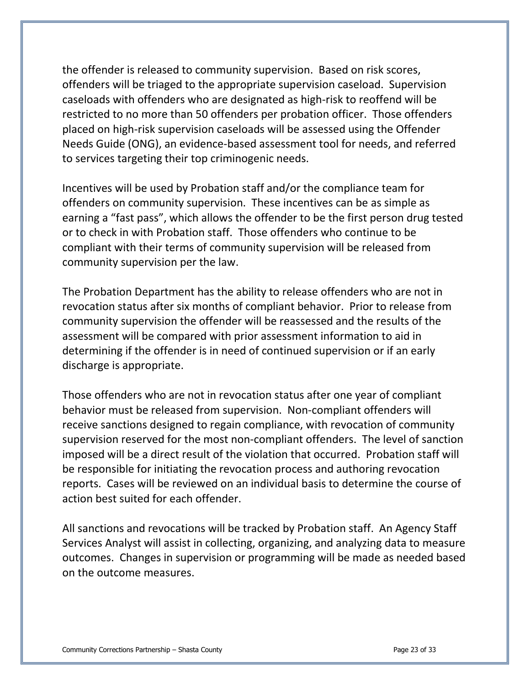the offender is released to community supervision. Based on risk scores, offenders will be triaged to the appropriate supervision caseload. Supervision caseloads with offenders who are designated as high-risk to reoffend will be restricted to no more than 50 offenders per probation officer. Those offenders placed on high-risk supervision caseloads will be assessed using the Offender Needs Guide (ONG), an evidence-based assessment tool for needs, and referred to services targeting their top criminogenic needs.

Incentives will be used by Probation staff and/or the compliance team for offenders on community supervision. These incentives can be as simple as earning a "fast pass", which allows the offender to be the first person drug tested or to check in with Probation staff. Those offenders who continue to be compliant with their terms of community supervision will be released from community supervision per the law.

The Probation Department has the ability to release offenders who are not in revocation status after six months of compliant behavior. Prior to release from community supervision the offender will be reassessed and the results of the assessment will be compared with prior assessment information to aid in determining if the offender is in need of continued supervision or if an early discharge is appropriate.

Those offenders who are not in revocation status after one year of compliant behavior must be released from supervision. Non-compliant offenders will receive sanctions designed to regain compliance, with revocation of community supervision reserved for the most non-compliant offenders. The level of sanction imposed will be a direct result of the violation that occurred. Probation staff will be responsible for initiating the revocation process and authoring revocation reports. Cases will be reviewed on an individual basis to determine the course of action best suited for each offender.

All sanctions and revocations will be tracked by Probation staff. An Agency Staff Services Analyst will assist in collecting, organizing, and analyzing data to measure outcomes. Changes in supervision or programming will be made as needed based on the outcome measures.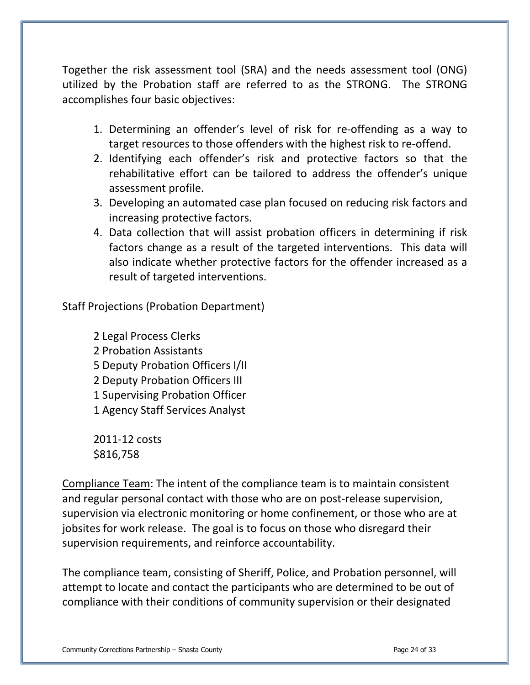Together the risk assessment tool (SRA) and the needs assessment tool (ONG) utilized by the Probation staff are referred to as the STRONG. The STRONG accomplishes four basic objectives:

- 1. Determining an offender's level of risk for re-offending as a way to target resources to those offenders with the highest risk to re-offend.
- 2. Identifying each offender's risk and protective factors so that the rehabilitative effort can be tailored to address the offender's unique assessment profile.
- 3. Developing an automated case plan focused on reducing risk factors and increasing protective factors.
- 4. Data collection that will assist probation officers in determining if risk factors change as a result of the targeted interventions. This data will also indicate whether protective factors for the offender increased as a result of targeted interventions.

Staff Projections (Probation Department)

2 Legal Process Clerks 2 Probation Assistants 5 Deputy Probation Officers I/II 2 Deputy Probation Officers III 1 Supervising Probation Officer 1 Agency Staff Services Analyst

2011-12 costs \$816,758

Compliance Team: The intent of the compliance team is to maintain consistent and regular personal contact with those who are on post-release supervision, supervision via electronic monitoring or home confinement, or those who are at jobsites for work release. The goal is to focus on those who disregard their supervision requirements, and reinforce accountability.

The compliance team, consisting of Sheriff, Police, and Probation personnel, will attempt to locate and contact the participants who are determined to be out of compliance with their conditions of community supervision or their designated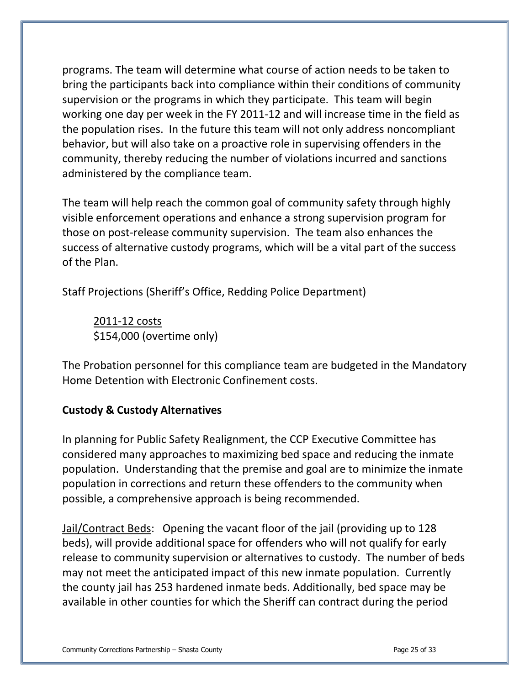programs. The team will determine what course of action needs to be taken to bring the participants back into compliance within their conditions of community supervision or the programs in which they participate. This team will begin working one day per week in the FY 2011-12 and will increase time in the field as the population rises. In the future this team will not only address noncompliant behavior, but will also take on a proactive role in supervising offenders in the community, thereby reducing the number of violations incurred and sanctions administered by the compliance team.

The team will help reach the common goal of community safety through highly visible enforcement operations and enhance a strong supervision program for those on post-release community supervision. The team also enhances the success of alternative custody programs, which will be a vital part of the success of the Plan.

Staff Projections (Sheriff's Office, Redding Police Department)

2011-12 costs \$154,000 (overtime only)

The Probation personnel for this compliance team are budgeted in the Mandatory Home Detention with Electronic Confinement costs.

# Custody & Custody Alternatives

In planning for Public Safety Realignment, the CCP Executive Committee has considered many approaches to maximizing bed space and reducing the inmate population. Understanding that the premise and goal are to minimize the inmate population in corrections and return these offenders to the community when possible, a comprehensive approach is being recommended.

Jail/Contract Beds: Opening the vacant floor of the jail (providing up to 128 beds), will provide additional space for offenders who will not qualify for early release to community supervision or alternatives to custody. The number of beds may not meet the anticipated impact of this new inmate population. Currently the county jail has 253 hardened inmate beds. Additionally, bed space may be available in other counties for which the Sheriff can contract during the period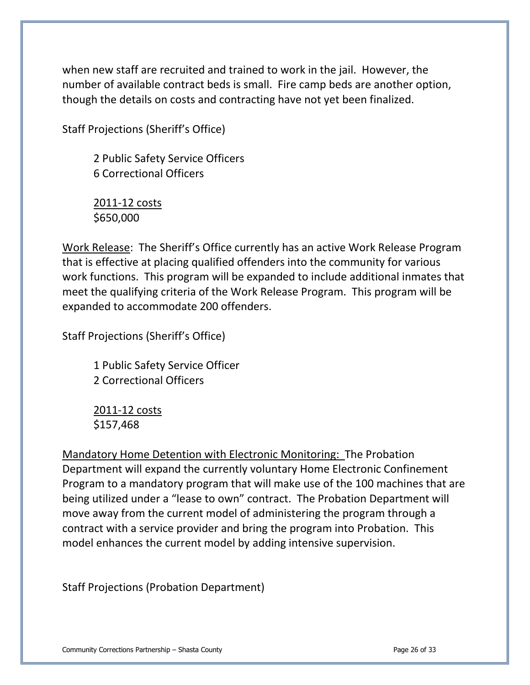when new staff are recruited and trained to work in the jail. However, the number of available contract beds is small. Fire camp beds are another option, though the details on costs and contracting have not yet been finalized.

Staff Projections (Sheriff's Office)

2 Public Safety Service Officers 6 Correctional Officers

2011-12 costs \$650,000

Work Release: The Sheriff's Office currently has an active Work Release Program that is effective at placing qualified offenders into the community for various work functions. This program will be expanded to include additional inmates that meet the qualifying criteria of the Work Release Program. This program will be expanded to accommodate 200 offenders.

Staff Projections (Sheriff's Office)

1 Public Safety Service Officer 2 Correctional Officers

2011-12 costs \$157,468

Mandatory Home Detention with Electronic Monitoring: The Probation Department will expand the currently voluntary Home Electronic Confinement Program to a mandatory program that will make use of the 100 machines that are being utilized under a "lease to own" contract. The Probation Department will move away from the current model of administering the program through a contract with a service provider and bring the program into Probation. This model enhances the current model by adding intensive supervision.

Staff Projections (Probation Department)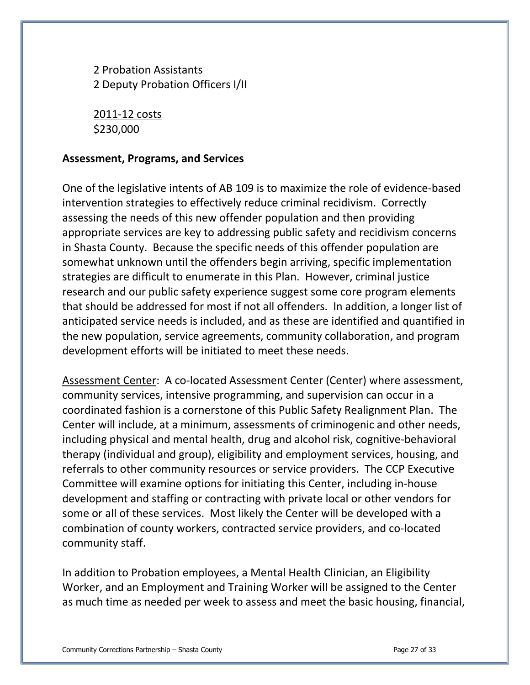2 Probation Assistants 2 Deputy Probation Officers I/II

2011-12 costs \$230,000

#### Assessment, Programs, and Services

One of the legislative intents of AB 109 is to maximize the role of evidence-based intervention strategies to effectively reduce criminal recidivism. Correctly assessing the needs of this new offender population and then providing appropriate services are key to addressing public safety and recidivism concerns in Shasta County. Because the specific needs of this offender population are somewhat unknown until the offenders begin arriving, specific implementation strategies are difficult to enumerate in this Plan. However, criminal justice research and our public safety experience suggest some core program elements that should be addressed for most if not all offenders. In addition, a longer list of anticipated service needs is included, and as these are identified and quantified in the new population, service agreements, community collaboration, and program development efforts will be initiated to meet these needs.

Assessment Center: A co-located Assessment Center (Center) where assessment, community services, intensive programming, and supervision can occur in a coordinated fashion is a cornerstone of this Public Safety Realignment Plan. The Center will include, at a minimum, assessments of criminogenic and other needs, including physical and mental health, drug and alcohol risk, cognitive-behavioral therapy (individual and group), eligibility and employment services, housing, and referrals to other community resources or service providers. The CCP Executive Committee will examine options for initiating this Center, including in-house development and staffing or contracting with private local or other vendors for some or all of these services. Most likely the Center will be developed with a combination of county workers, contracted service providers, and co-located community staff.

In addition to Probation employees, a Mental Health Clinician, an Eligibility Worker, and an Employment and Training Worker will be assigned to the Center as much time as needed per week to assess and meet the basic housing, financial,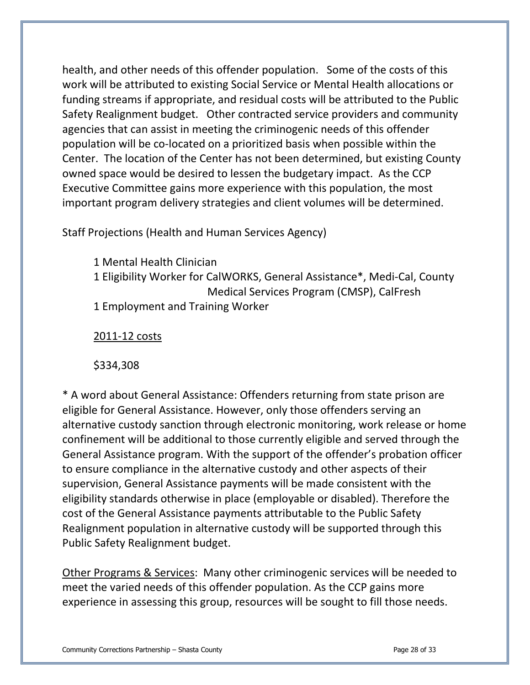health, and other needs of this offender population. Some of the costs of this work will be attributed to existing Social Service or Mental Health allocations or funding streams if appropriate, and residual costs will be attributed to the Public Safety Realignment budget. Other contracted service providers and community agencies that can assist in meeting the criminogenic needs of this offender population will be co-located on a prioritized basis when possible within the Center. The location of the Center has not been determined, but existing County owned space would be desired to lessen the budgetary impact. As the CCP Executive Committee gains more experience with this population, the most important program delivery strategies and client volumes will be determined.

Staff Projections (Health and Human Services Agency)

 1 Mental Health Clinician 1 Eligibility Worker for CalWORKS, General Assistance\*, Medi-Cal, County Medical Services Program (CMSP), CalFresh 1 Employment and Training Worker

2011-12 costs

\$334,308

\* A word about General Assistance: Offenders returning from state prison are eligible for General Assistance. However, only those offenders serving an alternative custody sanction through electronic monitoring, work release or home confinement will be additional to those currently eligible and served through the General Assistance program. With the support of the offender's probation officer to ensure compliance in the alternative custody and other aspects of their supervision, General Assistance payments will be made consistent with the eligibility standards otherwise in place (employable or disabled). Therefore the cost of the General Assistance payments attributable to the Public Safety Realignment population in alternative custody will be supported through this Public Safety Realignment budget.

Other Programs & Services: Many other criminogenic services will be needed to meet the varied needs of this offender population. As the CCP gains more experience in assessing this group, resources will be sought to fill those needs.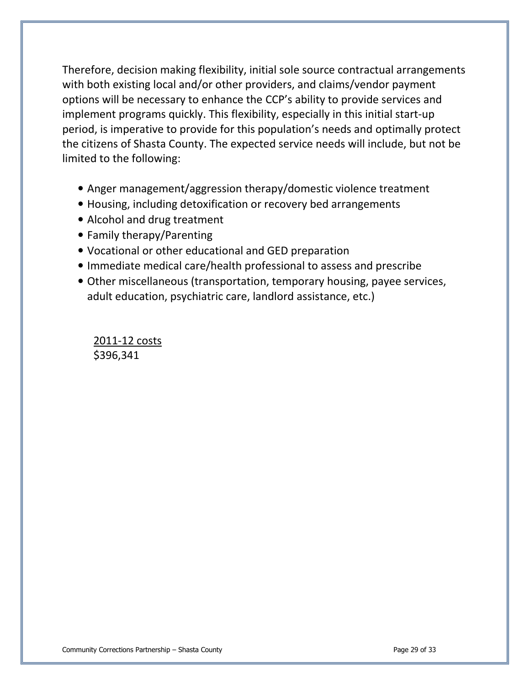Therefore, decision making flexibility, initial sole source contractual arrangements with both existing local and/or other providers, and claims/vendor payment options will be necessary to enhance the CCP's ability to provide services and implement programs quickly. This flexibility, especially in this initial start-up period, is imperative to provide for this population's needs and optimally protect the citizens of Shasta County. The expected service needs will include, but not be limited to the following:

- Anger management/aggression therapy/domestic violence treatment
- Housing, including detoxification or recovery bed arrangements
- Alcohol and drug treatment
- Family therapy/Parenting
- Vocational or other educational and GED preparation
- Immediate medical care/health professional to assess and prescribe
- Other miscellaneous (transportation, temporary housing, payee services, adult education, psychiatric care, landlord assistance, etc.)

2011-12 costs \$396,341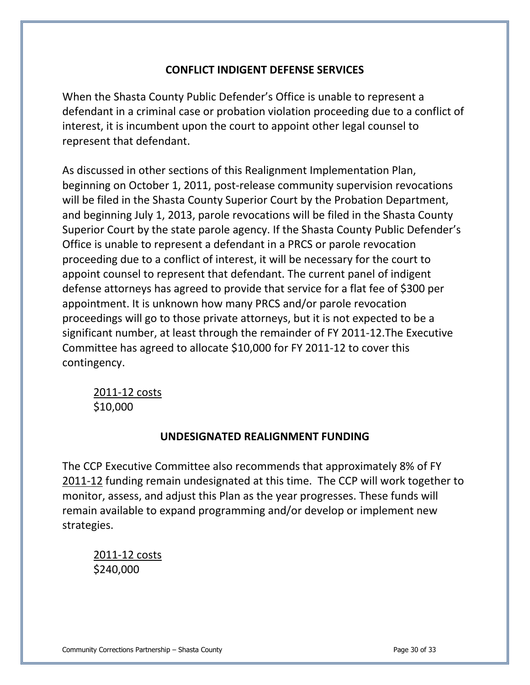# CONFLICT INDIGENT DEFENSE SERVICES

When the Shasta County Public Defender's Office is unable to represent a defendant in a criminal case or probation violation proceeding due to a conflict of interest, it is incumbent upon the court to appoint other legal counsel to represent that defendant.

As discussed in other sections of this Realignment Implementation Plan, beginning on October 1, 2011, post-release community supervision revocations will be filed in the Shasta County Superior Court by the Probation Department, and beginning July 1, 2013, parole revocations will be filed in the Shasta County Superior Court by the state parole agency. If the Shasta County Public Defender's Office is unable to represent a defendant in a PRCS or parole revocation proceeding due to a conflict of interest, it will be necessary for the court to appoint counsel to represent that defendant. The current panel of indigent defense attorneys has agreed to provide that service for a flat fee of \$300 per appointment. It is unknown how many PRCS and/or parole revocation proceedings will go to those private attorneys, but it is not expected to be a significant number, at least through the remainder of FY 2011-12.The Executive Committee has agreed to allocate \$10,000 for FY 2011-12 to cover this contingency.

2011-12 costs \$10,000

# UNDESIGNATED REALIGNMENT FUNDING

The CCP Executive Committee also recommends that approximately 8% of FY 2011-12 funding remain undesignated at this time. The CCP will work together to monitor, assess, and adjust this Plan as the year progresses. These funds will remain available to expand programming and/or develop or implement new strategies.

2011-12 costs \$240,000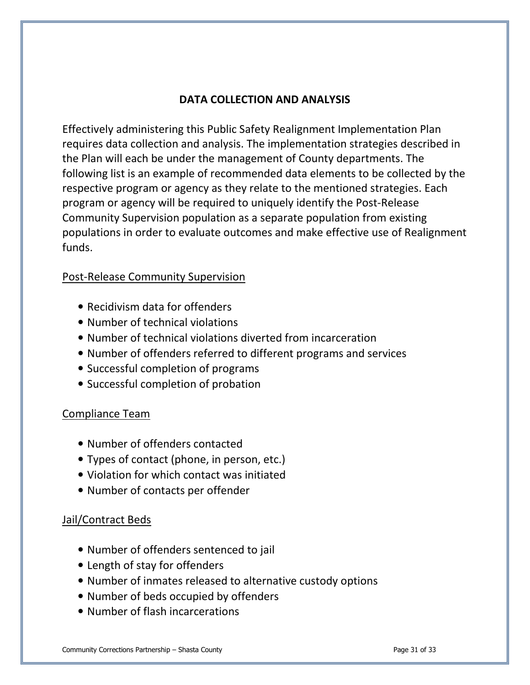# DATA COLLECTION AND ANALYSIS

Effectively administering this Public Safety Realignment Implementation Plan requires data collection and analysis. The implementation strategies described in the Plan will each be under the management of County departments. The following list is an example of recommended data elements to be collected by the respective program or agency as they relate to the mentioned strategies. Each program or agency will be required to uniquely identify the Post-Release Community Supervision population as a separate population from existing populations in order to evaluate outcomes and make effective use of Realignment funds.

# Post-Release Community Supervision

- Recidivism data for offenders
- Number of technical violations
- Number of technical violations diverted from incarceration
- Number of offenders referred to different programs and services
- Successful completion of programs
- Successful completion of probation

# Compliance Team

- Number of offenders contacted
- Types of contact (phone, in person, etc.)
- Violation for which contact was initiated
- Number of contacts per offender

# Jail/Contract Beds

- Number of offenders sentenced to jail
- Length of stay for offenders
- Number of inmates released to alternative custody options
- Number of beds occupied by offenders
- Number of flash incarcerations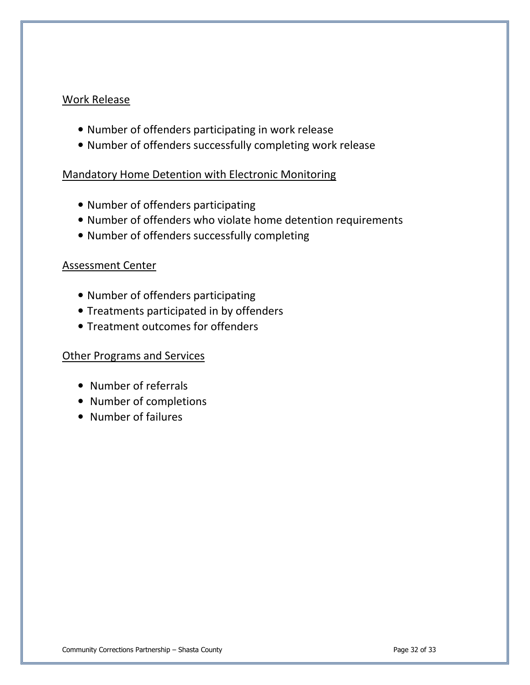# Work Release

- Number of offenders participating in work release
- Number of offenders successfully completing work release

# Mandatory Home Detention with Electronic Monitoring

- Number of offenders participating
- Number of offenders who violate home detention requirements
- Number of offenders successfully completing

# Assessment Center

- Number of offenders participating
- Treatments participated in by offenders
- Treatment outcomes for offenders

# Other Programs and Services

- Number of referrals
- Number of completions
- Number of failures